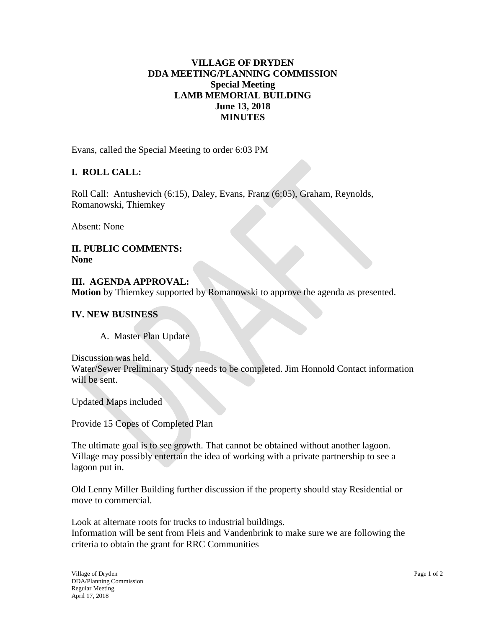## **VILLAGE OF DRYDEN DDA MEETING/PLANNING COMMISSION Special Meeting LAMB MEMORIAL BUILDING June 13, 2018 MINUTES**

Evans, called the Special Meeting to order 6:03 PM

## **I. ROLL CALL:**

Roll Call: Antushevich (6:15), Daley, Evans, Franz (6:05), Graham, Reynolds, Romanowski, Thiemkey

Absent: None

**II. PUBLIC COMMENTS: None**

**III. AGENDA APPROVAL: Motion** by Thiemkey supported by Romanowski to approve the agenda as presented.

#### **IV. NEW BUSINESS**

A. Master Plan Update

Discussion was held. Water/Sewer Preliminary Study needs to be completed. Jim Honnold Contact information will be sent.

Updated Maps included

Provide 15 Copes of Completed Plan

The ultimate goal is to see growth. That cannot be obtained without another lagoon. Village may possibly entertain the idea of working with a private partnership to see a lagoon put in.

Old Lenny Miller Building further discussion if the property should stay Residential or move to commercial.

Look at alternate roots for trucks to industrial buildings. Information will be sent from Fleis and Vandenbrink to make sure we are following the criteria to obtain the grant for RRC Communities